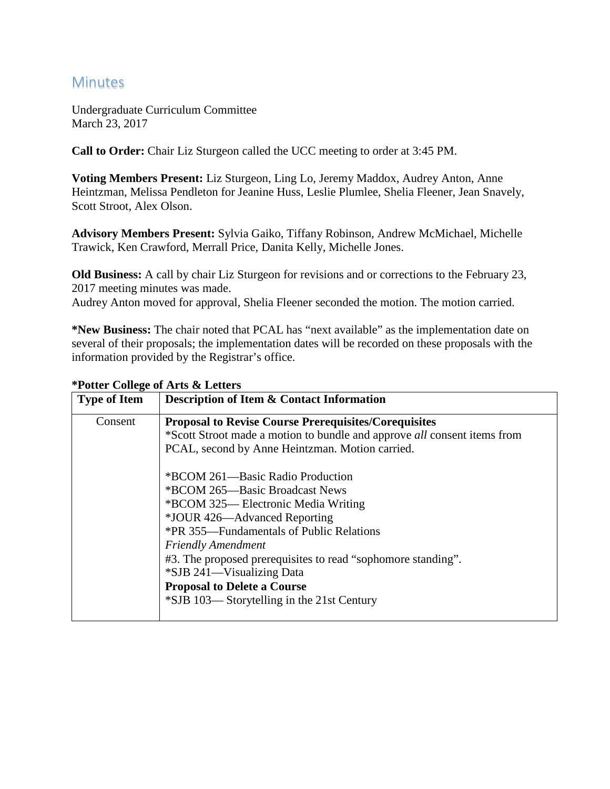## **Minutes**

Undergraduate Curriculum Committee March 23, 2017

**Call to Order:** Chair Liz Sturgeon called the UCC meeting to order at 3:45 PM.

**Voting Members Present:** Liz Sturgeon, Ling Lo, Jeremy Maddox, Audrey Anton, Anne Heintzman, Melissa Pendleton for Jeanine Huss, Leslie Plumlee, Shelia Fleener, Jean Snavely, Scott Stroot, Alex Olson.

**Advisory Members Present:** Sylvia Gaiko, Tiffany Robinson, Andrew McMichael, Michelle Trawick, Ken Crawford, Merrall Price, Danita Kelly, Michelle Jones.

**Old Business:** A call by chair Liz Sturgeon for revisions and or corrections to the February 23, 2017 meeting minutes was made.

Audrey Anton moved for approval, Shelia Fleener seconded the motion. The motion carried.

**\*New Business:** The chair noted that PCAL has "next available" as the implementation date on several of their proposals; the implementation dates will be recorded on these proposals with the information provided by the Registrar's office.

| <b>Type of Item</b> | <b>Description of Item &amp; Contact Information</b>                     |
|---------------------|--------------------------------------------------------------------------|
| Consent             | <b>Proposal to Revise Course Prerequisites/Corequisites</b>              |
|                     | *Scott Stroot made a motion to bundle and approve all consent items from |
|                     | PCAL, second by Anne Heintzman. Motion carried.                          |
|                     | *BCOM 261—Basic Radio Production                                         |
|                     | *BCOM 265—Basic Broadcast News                                           |
|                     | *BCOM 325— Electronic Media Writing                                      |
|                     | *JOUR 426—Advanced Reporting                                             |
|                     | *PR 355—Fundamentals of Public Relations                                 |
|                     | <b>Friendly Amendment</b>                                                |
|                     | #3. The proposed prerequisites to read "sophomore standing".             |
|                     | *SJB 241—Visualizing Data                                                |
|                     | <b>Proposal to Delete a Course</b>                                       |
|                     | *SJB 103—Storytelling in the 21st Century                                |
|                     |                                                                          |

**\*Potter College of Arts & Letters**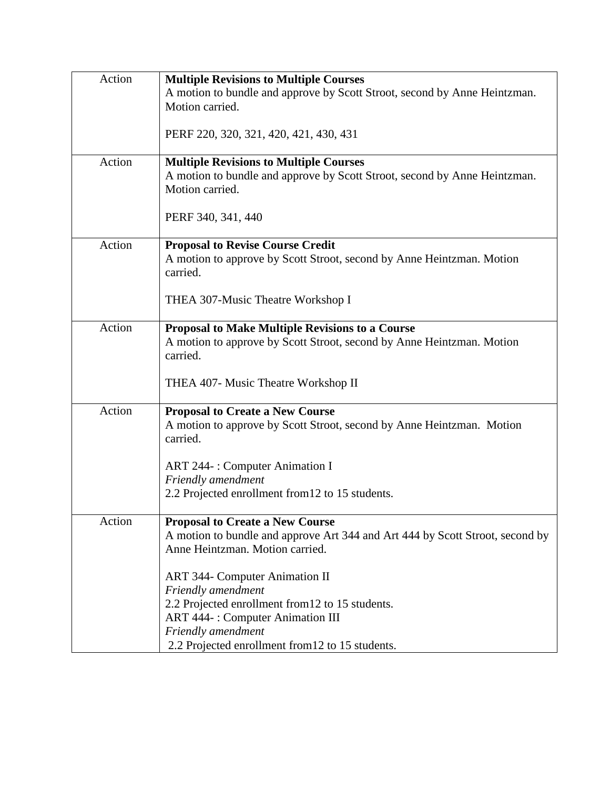| Action | <b>Multiple Revisions to Multiple Courses</b>                                     |
|--------|-----------------------------------------------------------------------------------|
|        | A motion to bundle and approve by Scott Stroot, second by Anne Heintzman.         |
|        | Motion carried.                                                                   |
|        |                                                                                   |
|        | PERF 220, 320, 321, 420, 421, 430, 431                                            |
|        |                                                                                   |
| Action | <b>Multiple Revisions to Multiple Courses</b>                                     |
|        | A motion to bundle and approve by Scott Stroot, second by Anne Heintzman.         |
|        | Motion carried.                                                                   |
|        |                                                                                   |
|        | PERF 340, 341, 440                                                                |
|        |                                                                                   |
| Action | <b>Proposal to Revise Course Credit</b>                                           |
|        | A motion to approve by Scott Stroot, second by Anne Heintzman. Motion             |
|        | carried.                                                                          |
|        |                                                                                   |
|        | THEA 307-Music Theatre Workshop I                                                 |
|        |                                                                                   |
| Action | <b>Proposal to Make Multiple Revisions to a Course</b>                            |
|        | A motion to approve by Scott Stroot, second by Anne Heintzman. Motion<br>carried. |
|        |                                                                                   |
|        | THEA 407- Music Theatre Workshop II                                               |
|        |                                                                                   |
| Action | <b>Proposal to Create a New Course</b>                                            |
|        | A motion to approve by Scott Stroot, second by Anne Heintzman. Motion             |
|        | carried.                                                                          |
|        |                                                                                   |
|        | <b>ART 244-: Computer Animation I</b>                                             |
|        | Friendly amendment                                                                |
|        | 2.2 Projected enrollment from 12 to 15 students.                                  |
|        |                                                                                   |
| Action | <b>Proposal to Create a New Course</b>                                            |
|        | A motion to bundle and approve Art 344 and Art 444 by Scott Stroot, second by     |
|        | Anne Heintzman. Motion carried.                                                   |
|        |                                                                                   |
|        | <b>ART 344- Computer Animation II</b>                                             |
|        | Friendly amendment                                                                |
|        | 2.2 Projected enrollment from 12 to 15 students.                                  |
|        | <b>ART 444-: Computer Animation III</b>                                           |
|        | Friendly amendment                                                                |
|        | 2.2 Projected enrollment from 12 to 15 students.                                  |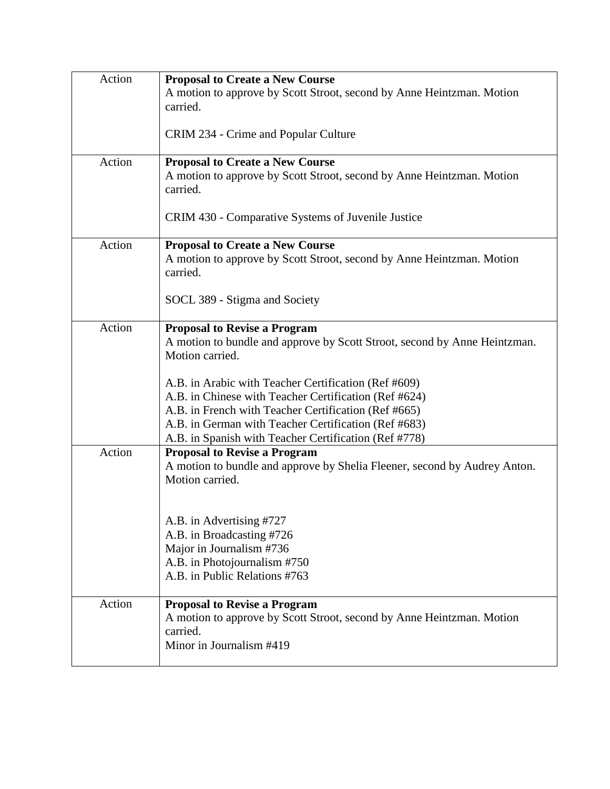| Action | <b>Proposal to Create a New Course</b><br>A motion to approve by Scott Stroot, second by Anne Heintzman. Motion<br>carried.                                                                                                                                                                                  |
|--------|--------------------------------------------------------------------------------------------------------------------------------------------------------------------------------------------------------------------------------------------------------------------------------------------------------------|
|        | CRIM 234 - Crime and Popular Culture                                                                                                                                                                                                                                                                         |
| Action | <b>Proposal to Create a New Course</b><br>A motion to approve by Scott Stroot, second by Anne Heintzman. Motion<br>carried.                                                                                                                                                                                  |
|        | CRIM 430 - Comparative Systems of Juvenile Justice                                                                                                                                                                                                                                                           |
| Action | <b>Proposal to Create a New Course</b><br>A motion to approve by Scott Stroot, second by Anne Heintzman. Motion<br>carried.                                                                                                                                                                                  |
|        | SOCL 389 - Stigma and Society                                                                                                                                                                                                                                                                                |
| Action | <b>Proposal to Revise a Program</b><br>A motion to bundle and approve by Scott Stroot, second by Anne Heintzman.<br>Motion carried.<br>A.B. in Arabic with Teacher Certification (Ref #609)<br>A.B. in Chinese with Teacher Certification (Ref #624)<br>A.B. in French with Teacher Certification (Ref #665) |
|        | A.B. in German with Teacher Certification (Ref #683)<br>A.B. in Spanish with Teacher Certification (Ref #778)                                                                                                                                                                                                |
| Action | <b>Proposal to Revise a Program</b><br>A motion to bundle and approve by Shelia Fleener, second by Audrey Anton.<br>Motion carried.                                                                                                                                                                          |
|        | A.B. in Advertising #727<br>A.B. in Broadcasting #726<br>Major in Journalism #736<br>A.B. in Photojournalism #750<br>A.B. in Public Relations #763                                                                                                                                                           |
| Action | <b>Proposal to Revise a Program</b><br>A motion to approve by Scott Stroot, second by Anne Heintzman. Motion<br>carried.<br>Minor in Journalism #419                                                                                                                                                         |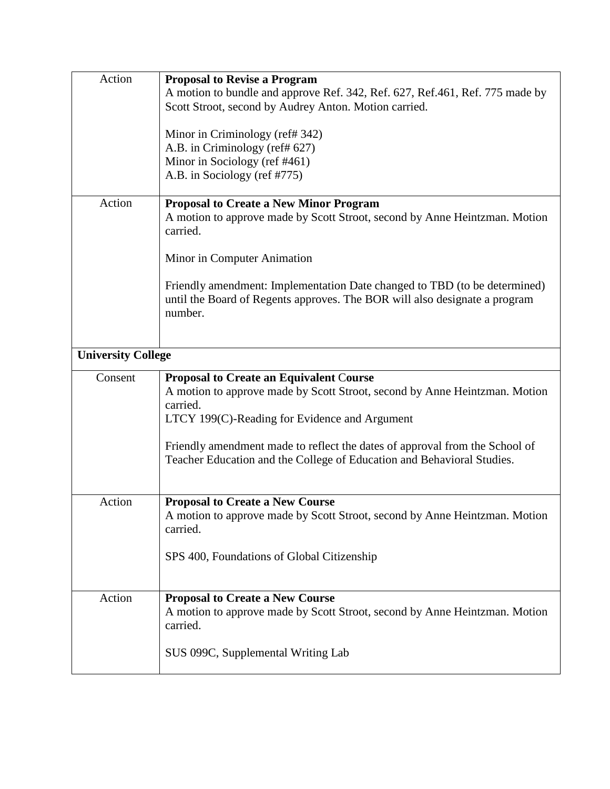| Action                    | <b>Proposal to Revise a Program</b><br>A motion to bundle and approve Ref. 342, Ref. 627, Ref. 461, Ref. 775 made by<br>Scott Stroot, second by Audrey Anton. Motion carried.<br>Minor in Criminology (ref# 342)<br>A.B. in Criminology (ref# 627)<br>Minor in Sociology (ref #461)<br>A.B. in Sociology (ref #775)                                |
|---------------------------|----------------------------------------------------------------------------------------------------------------------------------------------------------------------------------------------------------------------------------------------------------------------------------------------------------------------------------------------------|
| Action                    | <b>Proposal to Create a New Minor Program</b><br>A motion to approve made by Scott Stroot, second by Anne Heintzman. Motion<br>carried.<br>Minor in Computer Animation<br>Friendly amendment: Implementation Date changed to TBD (to be determined)<br>until the Board of Regents approves. The BOR will also designate a program<br>number.       |
| <b>University College</b> |                                                                                                                                                                                                                                                                                                                                                    |
| Consent                   | <b>Proposal to Create an Equivalent Course</b><br>A motion to approve made by Scott Stroot, second by Anne Heintzman. Motion<br>carried.<br>LTCY 199(C)-Reading for Evidence and Argument<br>Friendly amendment made to reflect the dates of approval from the School of<br>Teacher Education and the College of Education and Behavioral Studies. |
| Action                    | <b>Proposal to Create a New Course</b><br>A motion to approve made by Scott Stroot, second by Anne Heintzman. Motion<br>carried.<br>SPS 400, Foundations of Global Citizenship                                                                                                                                                                     |
| Action                    | <b>Proposal to Create a New Course</b><br>A motion to approve made by Scott Stroot, second by Anne Heintzman. Motion<br>carried.<br>SUS 099C, Supplemental Writing Lab                                                                                                                                                                             |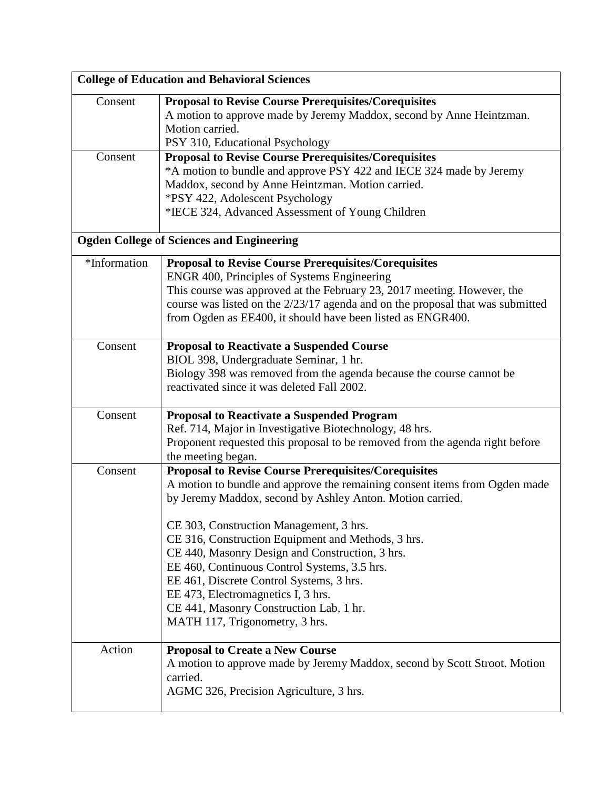| <b>College of Education and Behavioral Sciences</b> |                                                                                                                                                                                                                                                                                                                                                                                                                                                                                                                                                                           |
|-----------------------------------------------------|---------------------------------------------------------------------------------------------------------------------------------------------------------------------------------------------------------------------------------------------------------------------------------------------------------------------------------------------------------------------------------------------------------------------------------------------------------------------------------------------------------------------------------------------------------------------------|
| Consent                                             | <b>Proposal to Revise Course Prerequisites/Corequisites</b><br>A motion to approve made by Jeremy Maddox, second by Anne Heintzman.<br>Motion carried.<br>PSY 310, Educational Psychology                                                                                                                                                                                                                                                                                                                                                                                 |
| Consent                                             | <b>Proposal to Revise Course Prerequisites/Corequisites</b><br>*A motion to bundle and approve PSY 422 and IECE 324 made by Jeremy<br>Maddox, second by Anne Heintzman. Motion carried.<br>*PSY 422, Adolescent Psychology<br>*IECE 324, Advanced Assessment of Young Children                                                                                                                                                                                                                                                                                            |
|                                                     | <b>Ogden College of Sciences and Engineering</b>                                                                                                                                                                                                                                                                                                                                                                                                                                                                                                                          |
| *Information                                        | <b>Proposal to Revise Course Prerequisites/Corequisites</b><br>ENGR 400, Principles of Systems Engineering<br>This course was approved at the February 23, 2017 meeting. However, the<br>course was listed on the 2/23/17 agenda and on the proposal that was submitted<br>from Ogden as EE400, it should have been listed as ENGR400.                                                                                                                                                                                                                                    |
| Consent                                             | <b>Proposal to Reactivate a Suspended Course</b><br>BIOL 398, Undergraduate Seminar, 1 hr.<br>Biology 398 was removed from the agenda because the course cannot be<br>reactivated since it was deleted Fall 2002.                                                                                                                                                                                                                                                                                                                                                         |
| Consent                                             | <b>Proposal to Reactivate a Suspended Program</b><br>Ref. 714, Major in Investigative Biotechnology, 48 hrs.<br>Proponent requested this proposal to be removed from the agenda right before<br>the meeting began.                                                                                                                                                                                                                                                                                                                                                        |
| Consent                                             | <b>Proposal to Revise Course Prerequisites/Corequisites</b><br>A motion to bundle and approve the remaining consent items from Ogden made<br>by Jeremy Maddox, second by Ashley Anton. Motion carried.<br>CE 303, Construction Management, 3 hrs.<br>CE 316, Construction Equipment and Methods, 3 hrs.<br>CE 440, Masonry Design and Construction, 3 hrs.<br>EE 460, Continuous Control Systems, 3.5 hrs.<br>EE 461, Discrete Control Systems, 3 hrs.<br>EE 473, Electromagnetics I, 3 hrs.<br>CE 441, Masonry Construction Lab, 1 hr.<br>MATH 117, Trigonometry, 3 hrs. |
| Action                                              | <b>Proposal to Create a New Course</b><br>A motion to approve made by Jeremy Maddox, second by Scott Stroot. Motion<br>carried.<br>AGMC 326, Precision Agriculture, 3 hrs.                                                                                                                                                                                                                                                                                                                                                                                                |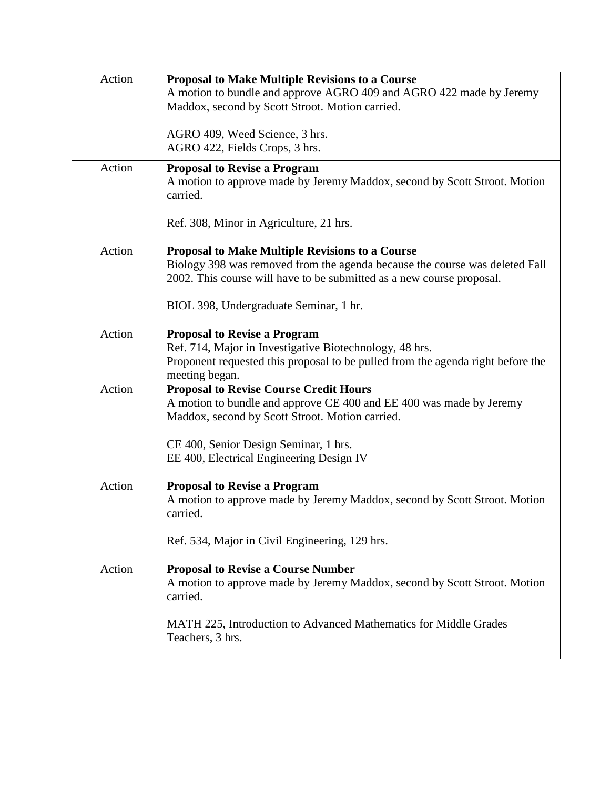| Action | <b>Proposal to Make Multiple Revisions to a Course</b>                                                                       |
|--------|------------------------------------------------------------------------------------------------------------------------------|
|        | A motion to bundle and approve AGRO 409 and AGRO 422 made by Jeremy<br>Maddox, second by Scott Stroot. Motion carried.       |
|        |                                                                                                                              |
|        | AGRO 409, Weed Science, 3 hrs.<br>AGRO 422, Fields Crops, 3 hrs.                                                             |
|        |                                                                                                                              |
| Action | <b>Proposal to Revise a Program</b><br>A motion to approve made by Jeremy Maddox, second by Scott Stroot. Motion<br>carried. |
|        | Ref. 308, Minor in Agriculture, 21 hrs.                                                                                      |
| Action | <b>Proposal to Make Multiple Revisions to a Course</b>                                                                       |
|        | Biology 398 was removed from the agenda because the course was deleted Fall                                                  |
|        | 2002. This course will have to be submitted as a new course proposal.                                                        |
|        | BIOL 398, Undergraduate Seminar, 1 hr.                                                                                       |
|        |                                                                                                                              |
| Action | <b>Proposal to Revise a Program</b><br>Ref. 714, Major in Investigative Biotechnology, 48 hrs.                               |
|        | Proponent requested this proposal to be pulled from the agenda right before the                                              |
|        | meeting began.                                                                                                               |
| Action | <b>Proposal to Revise Course Credit Hours</b>                                                                                |
|        | A motion to bundle and approve CE 400 and EE 400 was made by Jeremy                                                          |
|        | Maddox, second by Scott Stroot. Motion carried.                                                                              |
|        | CE 400, Senior Design Seminar, 1 hrs.                                                                                        |
|        | EE 400, Electrical Engineering Design IV                                                                                     |
|        |                                                                                                                              |
| Action | <b>Proposal to Revise a Program</b><br>A motion to approve made by Jeremy Maddox, second by Scott Stroot. Motion<br>carried. |
|        |                                                                                                                              |
|        | Ref. 534, Major in Civil Engineering, 129 hrs.                                                                               |
| Action | <b>Proposal to Revise a Course Number</b>                                                                                    |
|        | A motion to approve made by Jeremy Maddox, second by Scott Stroot. Motion<br>carried.                                        |
|        | MATH 225, Introduction to Advanced Mathematics for Middle Grades<br>Teachers, 3 hrs.                                         |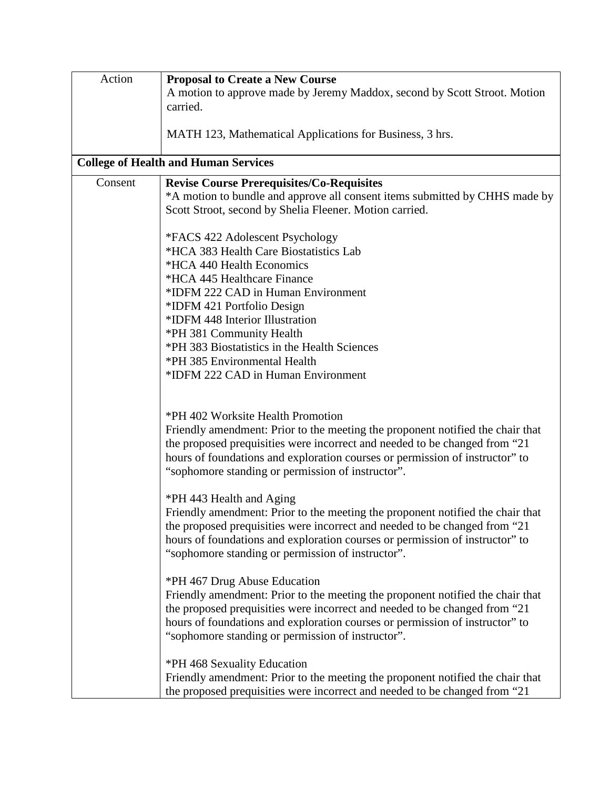| Action  | <b>Proposal to Create a New Course</b>                                                                                            |
|---------|-----------------------------------------------------------------------------------------------------------------------------------|
|         | A motion to approve made by Jeremy Maddox, second by Scott Stroot. Motion                                                         |
|         | carried.                                                                                                                          |
|         |                                                                                                                                   |
|         | MATH 123, Mathematical Applications for Business, 3 hrs.                                                                          |
|         | <b>College of Health and Human Services</b>                                                                                       |
| Consent | <b>Revise Course Prerequisites/Co-Requisites</b>                                                                                  |
|         | *A motion to bundle and approve all consent items submitted by CHHS made by                                                       |
|         | Scott Stroot, second by Shelia Fleener. Motion carried.                                                                           |
|         |                                                                                                                                   |
|         | *FACS 422 Adolescent Psychology                                                                                                   |
|         | *HCA 383 Health Care Biostatistics Lab                                                                                            |
|         | *HCA 440 Health Economics                                                                                                         |
|         | *HCA 445 Healthcare Finance                                                                                                       |
|         | *IDFM 222 CAD in Human Environment                                                                                                |
|         | *IDFM 421 Portfolio Design                                                                                                        |
|         | *IDFM 448 Interior Illustration                                                                                                   |
|         | *PH 381 Community Health<br>*PH 383 Biostatistics in the Health Sciences                                                          |
|         | *PH 385 Environmental Health                                                                                                      |
|         | *IDFM 222 CAD in Human Environment                                                                                                |
|         |                                                                                                                                   |
|         |                                                                                                                                   |
|         | *PH 402 Worksite Health Promotion                                                                                                 |
|         | Friendly amendment: Prior to the meeting the proponent notified the chair that                                                    |
|         | the proposed prequisities were incorrect and needed to be changed from "21                                                        |
|         | hours of foundations and exploration courses or permission of instructor" to                                                      |
|         | "sophomore standing or permission of instructor".                                                                                 |
|         |                                                                                                                                   |
|         | *PH 443 Health and Aging                                                                                                          |
|         | Friendly amendment: Prior to the meeting the proponent notified the chair that                                                    |
|         | the proposed prequisities were incorrect and needed to be changed from "21                                                        |
|         | hours of foundations and exploration courses or permission of instructor" to                                                      |
|         | "sophomore standing or permission of instructor".                                                                                 |
|         |                                                                                                                                   |
|         | *PH 467 Drug Abuse Education                                                                                                      |
|         | Friendly amendment: Prior to the meeting the proponent notified the chair that                                                    |
|         | the proposed prequisities were incorrect and needed to be changed from "21"                                                       |
|         | hours of foundations and exploration courses or permission of instructor" to<br>"sophomore standing or permission of instructor". |
|         |                                                                                                                                   |
|         | *PH 468 Sexuality Education                                                                                                       |
|         | Friendly amendment: Prior to the meeting the proponent notified the chair that                                                    |
|         | the proposed prequisities were incorrect and needed to be changed from "21"                                                       |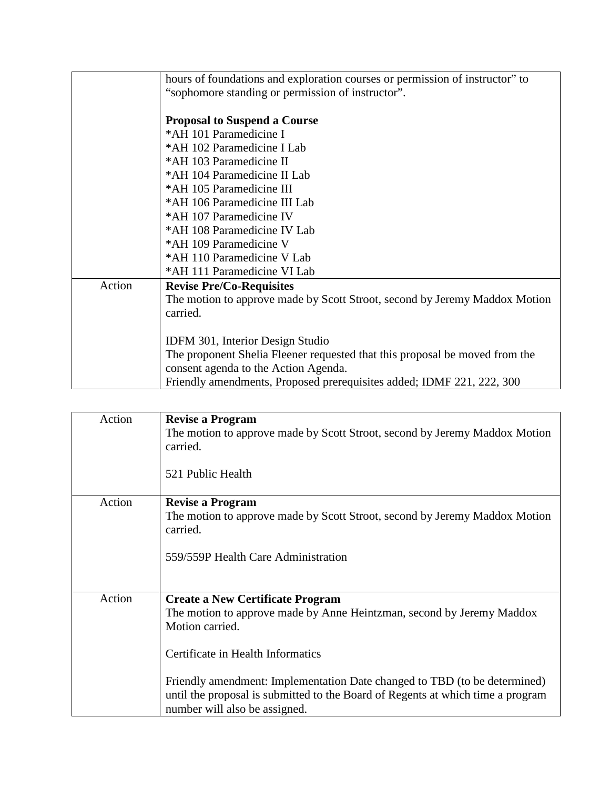|        | hours of foundations and exploration courses or permission of instructor" to |
|--------|------------------------------------------------------------------------------|
|        | "sophomore standing or permission of instructor".                            |
|        |                                                                              |
|        | <b>Proposal to Suspend a Course</b>                                          |
|        | *AH 101 Paramedicine I                                                       |
|        | *AH 102 Paramedicine I Lab                                                   |
|        | *AH 103 Paramedicine II                                                      |
|        | *AH 104 Paramedicine II Lab                                                  |
|        | *AH 105 Paramedicine III                                                     |
|        | *AH 106 Paramedicine III Lab                                                 |
|        | *AH 107 Paramedicine IV                                                      |
|        | *AH 108 Paramedicine IV Lab                                                  |
|        | *AH 109 Paramedicine V                                                       |
|        | *AH 110 Paramedicine V Lab                                                   |
|        | *AH 111 Paramedicine VI Lab                                                  |
| Action | <b>Revise Pre/Co-Requisites</b>                                              |
|        | The motion to approve made by Scott Stroot, second by Jeremy Maddox Motion   |
|        | carried.                                                                     |
|        |                                                                              |
|        | <b>IDFM 301, Interior Design Studio</b>                                      |
|        | The proponent Shelia Fleener requested that this proposal be moved from the  |
|        | consent agenda to the Action Agenda.                                         |
|        | Friendly amendments, Proposed prerequisites added; IDMF 221, 222, 300        |

| Action | <b>Revise a Program</b><br>The motion to approve made by Scott Stroot, second by Jeremy Maddox Motion<br>carried.<br>521 Public Health                                                                                                                                                                                                                                    |
|--------|---------------------------------------------------------------------------------------------------------------------------------------------------------------------------------------------------------------------------------------------------------------------------------------------------------------------------------------------------------------------------|
| Action | <b>Revise a Program</b><br>The motion to approve made by Scott Stroot, second by Jeremy Maddox Motion<br>carried.<br>559/559P Health Care Administration                                                                                                                                                                                                                  |
| Action | <b>Create a New Certificate Program</b><br>The motion to approve made by Anne Heintzman, second by Jeremy Maddox<br>Motion carried.<br>Certificate in Health Informatics<br>Friendly amendment: Implementation Date changed to TBD (to be determined)<br>until the proposal is submitted to the Board of Regents at which time a program<br>number will also be assigned. |